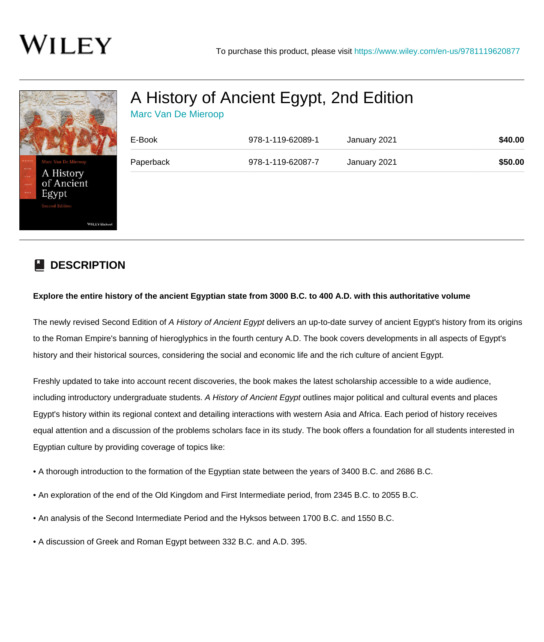

## [A History of Ancient Egypt, 2nd Edition](https://www.wiley.com/en-us/A+History+of+Ancient+Egypt%2C+2nd+Edition-p-9781119620877)

| <b>Marc Van De Mieroop</b> |  |
|----------------------------|--|
|----------------------------|--|

| E-Book    | 978-1-119-62089-1 | January 2021 | \$40.00 |
|-----------|-------------------|--------------|---------|
| Paperback | 978-1-119-62087-7 | January 2021 | \$50.00 |
|           |                   |              |         |
|           |                   |              |         |
|           |                   |              |         |

## **DESCRIPTION**

## **Explore the entire history of the ancient Egyptian state from 3000 B.C. to 400 A.D. with this authoritative volume**

The newly revised Second Edition of A History of Ancient Egypt delivers an up-to-date survey of ancient Egypt's history from its origins to the Roman Empire's banning of hieroglyphics in the fourth century A.D. The book covers developments in all aspects of Egypt's history and their historical sources, considering the social and economic life and the rich culture of ancient Egypt.

Freshly updated to take into account recent discoveries, the book makes the latest scholarship accessible to a wide audience, including introductory undergraduate students. A History of Ancient Egypt outlines major political and cultural events and places Egypt's history within its regional context and detailing interactions with western Asia and Africa. Each period of history receives equal attention and a discussion of the problems scholars face in its study. The book offers a foundation for all students interested in Egyptian culture by providing coverage of topics like:

- A thorough introduction to the formation of the Egyptian state between the years of 3400 B.C. and 2686 B.C.
- An exploration of the end of the Old Kingdom and First Intermediate period, from 2345 B.C. to 2055 B.C.
- An analysis of the Second Intermediate Period and the Hyksos between 1700 B.C. and 1550 B.C.
- A discussion of Greek and Roman Egypt between 332 B.C. and A.D. 395.